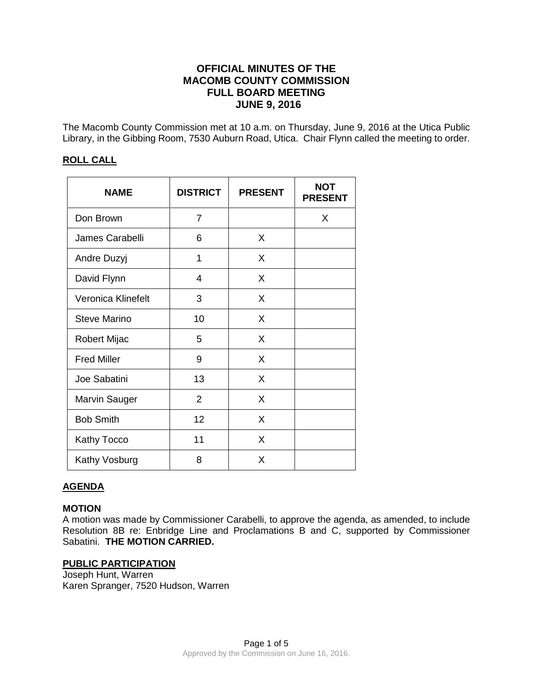# **OFFICIAL MINUTES OF THE MACOMB COUNTY COMMISSION FULL BOARD MEETING JUNE 9, 2016**

The Macomb County Commission met at 10 a.m. on Thursday, June 9, 2016 at the Utica Public Library, in the Gibbing Room, 7530 Auburn Road, Utica. Chair Flynn called the meeting to order.

## **ROLL CALL**

| <b>NAME</b>         | <b>DISTRICT</b> | <b>PRESENT</b> | <b>NOT</b><br><b>PRESENT</b> |
|---------------------|-----------------|----------------|------------------------------|
| Don Brown           | $\overline{7}$  |                | X                            |
| James Carabelli     | 6               | X              |                              |
| Andre Duzyj         | 1               | X              |                              |
| David Flynn         | 4               | X              |                              |
| Veronica Klinefelt  | 3               | X              |                              |
| <b>Steve Marino</b> | 10              | X              |                              |
| Robert Mijac        | 5               | X              |                              |
| <b>Fred Miller</b>  | 9               | X              |                              |
| Joe Sabatini        | 13              | X              |                              |
| Marvin Sauger       | $\overline{2}$  | X              |                              |
| <b>Bob Smith</b>    | 12              | X              |                              |
| <b>Kathy Tocco</b>  | 11              | X              |                              |
| Kathy Vosburg       | 8               | X              |                              |

## **AGENDA**

### **MOTION**

A motion was made by Commissioner Carabelli, to approve the agenda, as amended, to include Resolution 8B re: Enbridge Line and Proclamations B and C, supported by Commissioner Sabatini. **THE MOTION CARRIED.** 

## **PUBLIC PARTICIPATION**

Joseph Hunt, Warren Karen Spranger, 7520 Hudson, Warren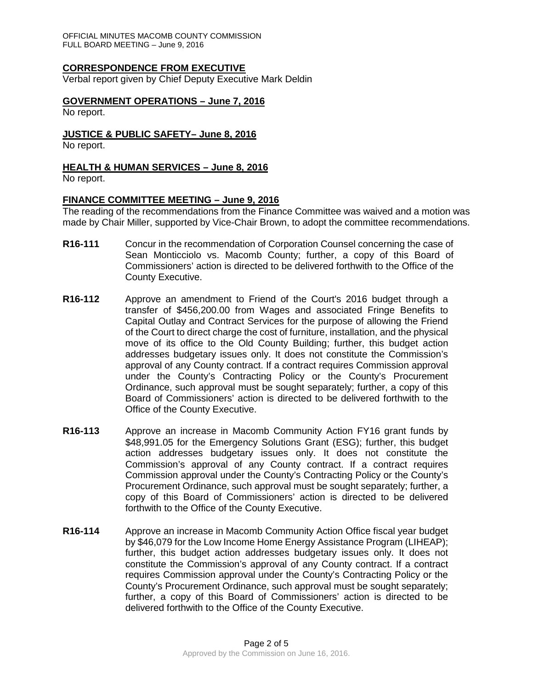OFFICIAL MINUTES MACOMB COUNTY COMMISSION FULL BOARD MEETING – June 9, 2016

### **CORRESPONDENCE FROM EXECUTIVE**

Verbal report given by Chief Deputy Executive Mark Deldin

#### **GOVERNMENT OPERATIONS – June 7, 2016**

No report.

#### **JUSTICE & PUBLIC SAFETY– June 8, 2016**

No report.

#### **HEALTH & HUMAN SERVICES – June 8, 2016**

No report.

#### **FINANCE COMMITTEE MEETING – June 9, 2016**

The reading of the recommendations from the Finance Committee was waived and a motion was made by Chair Miller, supported by Vice-Chair Brown, to adopt the committee recommendations.

- **R16-111** Concur in the recommendation of Corporation Counsel concerning the case of Sean Monticciolo vs. Macomb County; further, a copy of this Board of Commissioners' action is directed to be delivered forthwith to the Office of the County Executive.
- **R16-112** Approve an amendment to Friend of the Court's 2016 budget through a transfer of \$456,200.00 from Wages and associated Fringe Benefits to Capital Outlay and Contract Services for the purpose of allowing the Friend of the Court to direct charge the cost of furniture, installation, and the physical move of its office to the Old County Building; further, this budget action addresses budgetary issues only. It does not constitute the Commission's approval of any County contract. If a contract requires Commission approval under the County's Contracting Policy or the County's Procurement Ordinance, such approval must be sought separately; further, a copy of this Board of Commissioners' action is directed to be delivered forthwith to the Office of the County Executive.
- **R16-113** Approve an increase in Macomb Community Action FY16 grant funds by \$48,991.05 for the Emergency Solutions Grant (ESG); further, this budget action addresses budgetary issues only. It does not constitute the Commission's approval of any County contract. If a contract requires Commission approval under the County's Contracting Policy or the County's Procurement Ordinance, such approval must be sought separately; further, a copy of this Board of Commissioners' action is directed to be delivered forthwith to the Office of the County Executive.
- **R16-114** Approve an increase in Macomb Community Action Office fiscal year budget by \$46,079 for the Low Income Home Energy Assistance Program (LIHEAP); further, this budget action addresses budgetary issues only. It does not constitute the Commission's approval of any County contract. If a contract requires Commission approval under the County's Contracting Policy or the County's Procurement Ordinance, such approval must be sought separately; further, a copy of this Board of Commissioners' action is directed to be delivered forthwith to the Office of the County Executive.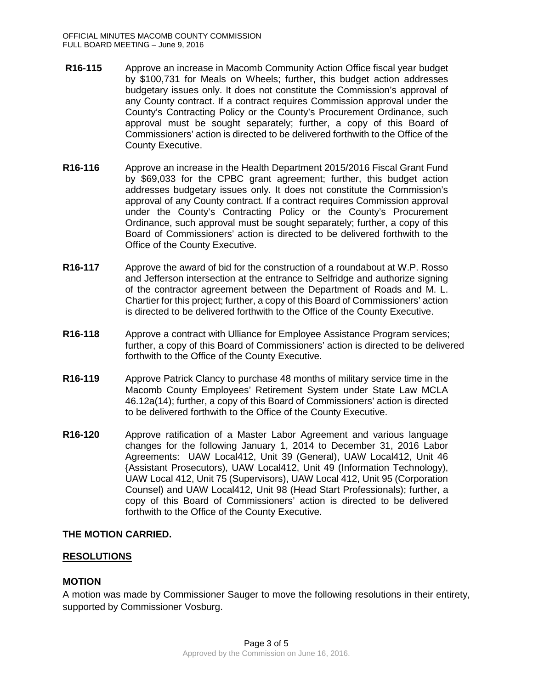- **R16-115** Approve an increase in Macomb Community Action Office fiscal year budget by \$100,731 for Meals on Wheels; further, this budget action addresses budgetary issues only. It does not constitute the Commission's approval of any County contract. If a contract requires Commission approval under the County's Contracting Policy or the County's Procurement Ordinance, such approval must be sought separately; further, a copy of this Board of Commissioners' action is directed to be delivered forthwith to the Office of the County Executive.
- **R16-116** Approve an increase in the Health Department 2015/2016 Fiscal Grant Fund by \$69,033 for the CPBC grant agreement; further, this budget action addresses budgetary issues only. It does not constitute the Commission's approval of any County contract. If a contract requires Commission approval under the County's Contracting Policy or the County's Procurement Ordinance, such approval must be sought separately; further, a copy of this Board of Commissioners' action is directed to be delivered forthwith to the Office of the County Executive.
- **R16-117** Approve the award of bid for the construction of a roundabout at W.P. Rosso and Jefferson intersection at the entrance to Selfridge and authorize signing of the contractor agreement between the Department of Roads and M. L. Chartier for this project; further, a copy of this Board of Commissioners' action is directed to be delivered forthwith to the Office of the County Executive.
- **R16-118** Approve a contract with Ulliance for Employee Assistance Program services; further, a copy of this Board of Commissioners' action is directed to be delivered forthwith to the Office of the County Executive.
- **R16-119** Approve Patrick Clancy to purchase 48 months of military service time in the Macomb County Employees' Retirement System under State Law MCLA 46.12a(14); further, a copy of this Board of Commissioners' action is directed to be delivered forthwith to the Office of the County Executive.
- **R16-120** Approve ratification of a Master Labor Agreement and various language changes for the following January 1, 2014 to December 31, 2016 Labor Agreements: UAW Local412, Unit 39 (General), UAW Local412, Unit 46 {Assistant Prosecutors), UAW Local412, Unit 49 (Information Technology), UAW Local 412, Unit 75 (Supervisors), UAW Local 412, Unit 95 (Corporation Counsel) and UAW Local412, Unit 98 (Head Start Professionals); further, a copy of this Board of Commissioners' action is directed to be delivered forthwith to the Office of the County Executive.

## **THE MOTION CARRIED.**

## **RESOLUTIONS**

## **MOTION**

A motion was made by Commissioner Sauger to move the following resolutions in their entirety, supported by Commissioner Vosburg.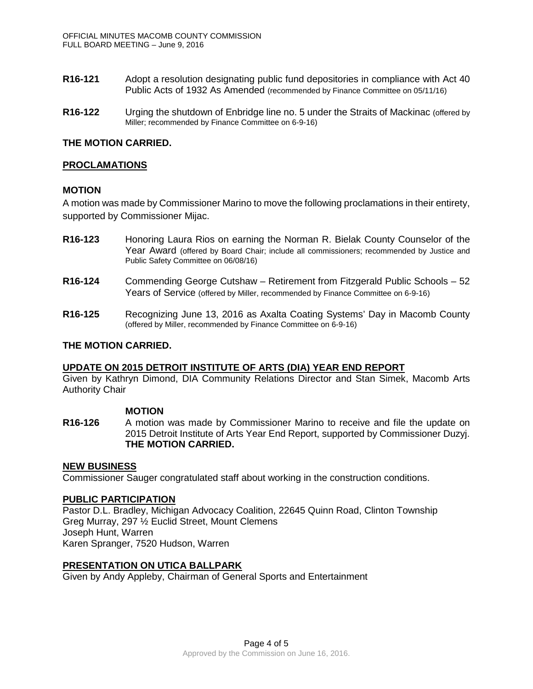- **R16-121** Adopt a resolution designating public fund depositories in compliance with Act 40 Public Acts of 1932 As Amended (recommended by Finance Committee on 05/11/16)
- **R16-122** Urging the shutdown of Enbridge line no. 5 under the Straits of Mackinac (offered by Miller; recommended by Finance Committee on 6-9-16)

### **THE MOTION CARRIED.**

### **PROCLAMATIONS**

### **MOTION**

A motion was made by Commissioner Marino to move the following proclamations in their entirety, supported by Commissioner Mijac.

- **R16-123** Honoring Laura Rios on earning the Norman R. Bielak County Counselor of the Year Award (offered by Board Chair; include all commissioners; recommended by Justice and Public Safety Committee on 06/08/16)
- **R16-124** Commending George Cutshaw Retirement from Fitzgerald Public Schools 52 Years of Service (offered by Miller, recommended by Finance Committee on 6-9-16)
- **R16-125** Recognizing June 13, 2016 as Axalta Coating Systems' Day in Macomb County (offered by Miller, recommended by Finance Committee on 6-9-16)

### **THE MOTION CARRIED.**

### **UPDATE ON 2015 DETROIT INSTITUTE OF ARTS (DIA) YEAR END REPORT**

Given by Kathryn Dimond, DIA Community Relations Director and Stan Simek, Macomb Arts Authority Chair

### **MOTION**

**R16-126** A motion was made by Commissioner Marino to receive and file the update on 2015 Detroit Institute of Arts Year End Report, supported by Commissioner Duzyj. **THE MOTION CARRIED.**

### **NEW BUSINESS**

Commissioner Sauger congratulated staff about working in the construction conditions.

### **PUBLIC PARTICIPATION**

Pastor D.L. Bradley, Michigan Advocacy Coalition, 22645 Quinn Road, Clinton Township Greg Murray, 297 ½ Euclid Street, Mount Clemens Joseph Hunt, Warren Karen Spranger, 7520 Hudson, Warren

### **PRESENTATION ON UTICA BALLPARK**

Given by Andy Appleby, Chairman of General Sports and Entertainment